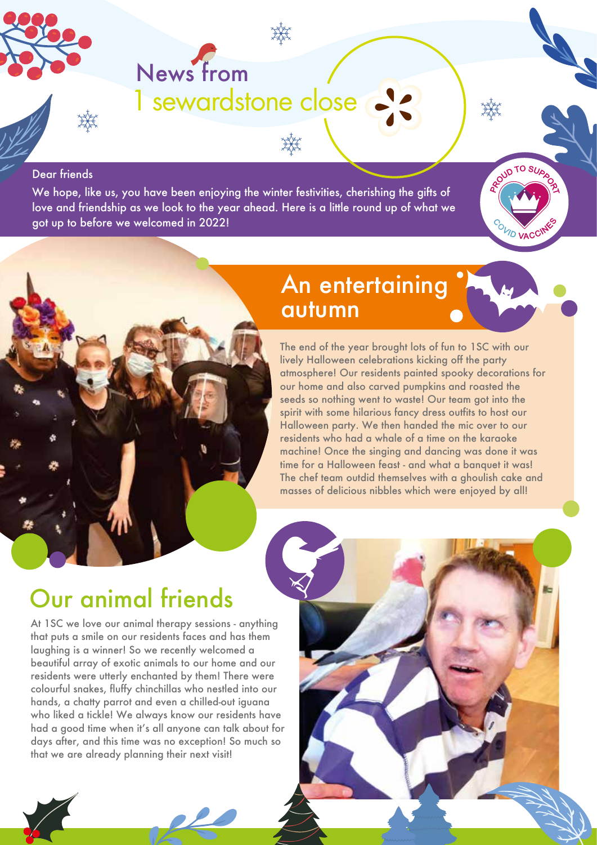

# News from 1 sewardstone close

#### Dear friends

We hope, like us, you have been enjoying the winter festivities, cherishing the gifts of love and friendship as we look to the year ahead. Here is a little round up of what we got up to before we welcomed in 2022!



The end of the year brought lots of fun to 1SC with our lively Halloween celebrations kicking off the party atmosphere! Our residents painted spooky decorations for our home and also carved pumpkins and roasted the seeds so nothing went to waste! Our team got into the spirit with some hilarious fancy dress outfits to host our Halloween party. We then handed the mic over to our residents who had a whale of a time on the karaoke machine! Once the singing and dancing was done it was time for a Halloween feast - and what a banquet it was! The chef team outdid themselves with a ghoulish cake and masses of delicious nibbles which were enjoyed by all!

ROUD TO SU

COVID VACC

### Our animal friends

At 1SC we love our animal therapy sessions - anything that puts a smile on our residents faces and has them laughing is a winner! So we recently welcomed a beautiful array of exotic animals to our home and our residents were utterly enchanted by them! There were colourful snakes, fluffy chinchillas who nestled into our hands, a chatty parrot and even a chilled-out iguana who liked a tickle! We always know our residents have had a good time when it's all anyone can talk about for days after, and this time was no exception! So much so that we are already planning their next visit!